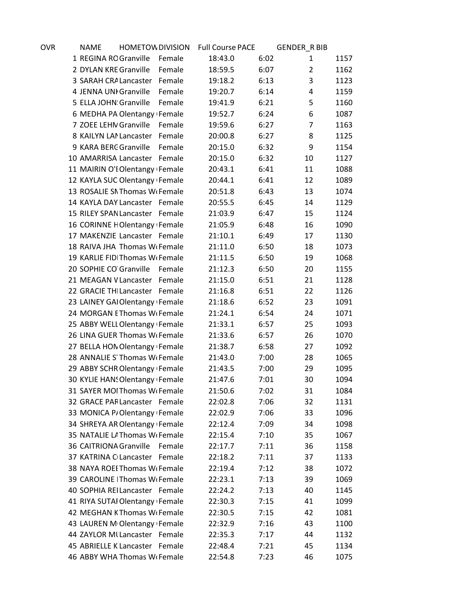| ovr | <b>NAME</b>                                | <b>HOMETOW DIVISION</b> |        | <b>Full Course PACE</b> |      | <b>GENDER_R BIB</b> |      |
|-----|--------------------------------------------|-------------------------|--------|-------------------------|------|---------------------|------|
|     | 1 REGINA ROGranville                       |                         | Female | 18:43.0                 | 6:02 | 1                   | 1157 |
|     | 2 DYLAN KRE Granville                      |                         | Female | 18:59.5                 | 6:07 | $\overline{2}$      | 1162 |
|     | 3 SARAH CRA Lancaster                      |                         | Female | 19:18.2                 | 6:13 | 3                   | 1123 |
|     | 4 JENNA UNI Granville                      |                         | Female | 19:20.7                 | 6:14 | 4                   | 1159 |
|     | 5 ELLA JOHN: Granville                     |                         | Female | 19:41.9                 | 6:21 | 5                   | 1160 |
|     | 6 MEDHA PA Olentangy Female                |                         |        | 19:52.7                 | 6:24 | 6                   | 1087 |
|     | 7 ZOEE LEHN Granville                      |                         | Female | 19:59.6                 | 6:27 | $\overline{7}$      | 1163 |
|     | 8 KAILYN LAN Lancaster                     |                         | Female | 20:00.8                 | 6:27 | 8                   | 1125 |
|     | 9 KARA BERC Granville                      |                         | Female | 20:15.0                 | 6:32 | 9                   | 1154 |
|     | 10 AMARRISA Lancaster Female               |                         |        | 20:15.0                 | 6:32 | 10                  | 1127 |
|     | 11 MAIRIN O'I Olentangy Female             |                         |        | 20:43.1                 | 6:41 | 11                  | 1088 |
|     | 12 KAYLA SUC Olentangy Female              |                         |        | 20:44.1                 | 6:41 | 12                  | 1089 |
|     | 13 ROSALIE SN Thomas W <sub>1</sub> Female |                         |        | 20:51.8                 | 6:43 | 13                  | 1074 |
|     | 14 KAYLA DAY Lancaster Female              |                         |        | 20:55.5                 | 6:45 | 14                  | 1129 |
|     | 15 RILEY SPAN Lancaster Female             |                         |        | 21:03.9                 | 6:47 | 15                  | 1124 |
|     | 16 CORINNE HOlentangy Female               |                         |        | 21:05.9                 | 6:48 | 16                  | 1090 |
|     | 17 MAKENZIE Lancaster Female               |                         |        | 21:10.1                 | 6:49 | 17                  | 1130 |
|     | 18 RAIVA JHA Thomas W <sub>1</sub> Female  |                         |        | 21:11.0                 | 6:50 | 18                  | 1073 |
|     | 19 KARLIE FIDIThomas WiFemale              |                         |        | 21:11.5                 | 6:50 | 19                  | 1068 |
|     | 20 SOPHIE CO Granville Female              |                         |        | 21:12.3                 | 6:50 | 20                  | 1155 |
|     | 21 MEAGAN V Lancaster                      |                         | Female | 21:15.0                 | 6:51 | 21                  | 1128 |
|     | 22 GRACIE THI Lancaster Female             |                         |        | 21:16.8                 | 6:51 | 22                  | 1126 |
|     | 23 LAINEY GAIOlentangy Female              |                         |        | 21:18.6                 | 6:52 | 23                  | 1091 |
|     | 24 MORGAN EThomas W(Female                 |                         |        | 21:24.1                 | 6:54 | 24                  | 1071 |
|     | 25 ABBY WELL Olentangy Female              |                         |        | 21:33.1                 | 6:57 | 25                  | 1093 |
|     | 26 LINA GUER Thomas W <sub>1</sub> Female  |                         |        | 21:33.6                 | 6:57 | 26                  | 1070 |
|     | 27 BELLA HON Olentangy Female              |                         |        | 21:38.7                 | 6:58 | 27                  | 1092 |
|     | 28 ANNALIE S Thomas W <sub>1</sub> Female  |                         |        | 21:43.0                 | 7:00 | 28                  | 1065 |
|     | 29 ABBY SCHR Olentangy Female              |                         |        | 21:43.5                 | 7:00 | 29                  | 1095 |
|     | 30 KYLIE HAN! Olentangy Female             |                         |        | 21:47.6                 | 7:01 | 30                  | 1094 |
|     | 31 SAYER MOI Thomas W <sub>I</sub> Female  |                         |        | 21:50.6                 | 7:02 | 31                  | 1084 |
|     | 32 GRACE PAF Lancaster Female              |                         |        | 22:02.8                 | 7:06 | 32                  | 1131 |
|     | 33 MONICA P/Olentangy Female               |                         |        | 22:02.9                 | 7:06 | 33                  | 1096 |
|     | 34 SHREYA AR Olentangy Female              |                         |        | 22:12.4                 | 7:09 | 34                  | 1098 |
|     | 35 NATALIE LA Thomas Wi Female             |                         |        | 22:15.4                 | 7:10 | 35                  | 1067 |
|     | 36 CAITRIONA Granville                     |                         | Female | 22:17.7                 | 7:11 | 36                  | 1158 |
|     | 37 KATRINA C Lancaster Female              |                         |        | 22:18.2                 | 7:11 | 37                  | 1133 |
|     | 38 NAYA ROEI Thomas Wi Female              |                         |        | 22:19.4                 | 7:12 | 38                  | 1072 |
|     | 39 CAROLINE   Thomas W <sub>1</sub> Female |                         |        | 22:23.1                 | 7:13 | 39                  | 1069 |
|     | 40 SOPHIA REILancaster Female              |                         |        | 22:24.2                 | 7:13 | 40                  | 1145 |
|     | 41 RIYA SUTAI Olentangy Female             |                         |        | 22:30.3                 | 7:15 | 41                  | 1099 |
|     | 42 MEGHAN KThomas W <sub>1</sub> Female    |                         |        | 22:30.5                 | 7:15 | 42                  | 1081 |
|     | 43 LAUREN M Olentangy Female               |                         |        | 22:32.9                 | 7:16 | 43                  | 1100 |
|     | 44 ZAYLOR MI Lancaster Female              |                         |        | 22:35.3                 | 7:17 | 44                  | 1132 |
|     | 45 ABRIELLE K Lancaster Female             |                         |        | 22:48.4                 | 7:21 | 45                  | 1134 |
|     | 46 ABBY WHA Thomas W <sub>G</sub> Female   |                         |        | 22:54.8                 | 7:23 | 46                  | 1075 |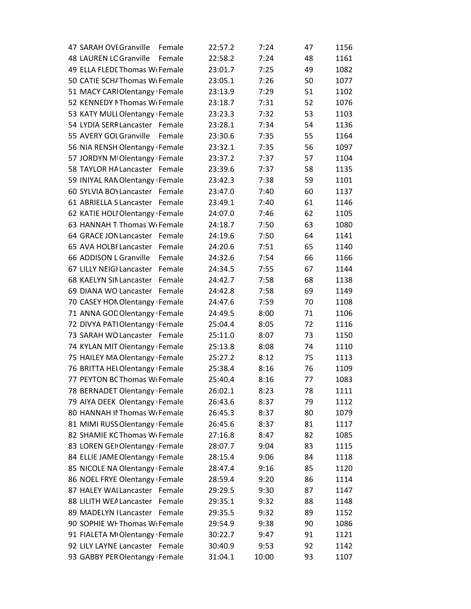| 47 SARAH OVI Granville                     | Female | 22:57.2 | 7:24  | 47 | 1156 |
|--------------------------------------------|--------|---------|-------|----|------|
| <b>48 LAUREN LC Granville</b>              | Female | 22:58.2 | 7:24  | 48 | 1161 |
| 49 ELLA FLEDL Thomas W <sub>1</sub> Female |        | 23:01.7 | 7:25  | 49 | 1082 |
| 50 CATIE SCH/Thomas W <sub>1</sub> Female  |        | 23:05.1 | 7:26  | 50 | 1077 |
| 51 MACY CARIOlentangy Female               |        | 23:13.9 | 7:29  | 51 | 1102 |
| 52 KENNEDY I Thomas W <sub>I</sub> Female  |        | 23:18.7 | 7:31  | 52 | 1076 |
| 53 KATY MULI Olentangy Female              |        | 23:23.3 | 7:32  | 53 | 1103 |
| 54 LYDIA SERR Lancaster Female             |        | 23:28.1 | 7:34  | 54 | 1136 |
| 55 AVERY GOL Granville                     | Female | 23:30.6 | 7:35  | 55 | 1164 |
| 56 NIA RENSH Olentangy Female              |        | 23:32.1 | 7:35  | 56 | 1097 |
| 57 JORDYN MIOlentangy Female               |        | 23:37.2 | 7:37  | 57 | 1104 |
| 58 TAYLOR HA Lancaster Female              |        | 23:39.6 | 7:37  | 58 | 1135 |
| 59 INIYAL RAN Olentangy Female             |        | 23:42.3 | 7:38  | 59 | 1101 |
| 60 SYLVIA BOY Lancaster                    | Female | 23:47.0 | 7:40  | 60 | 1137 |
| 61 ABRIELLA S Lancaster Female             |        | 23:49.1 | 7:40  | 61 | 1146 |
| 62 KATIE HOLI Olentangy Female             |        | 24:07.0 | 7:46  | 62 | 1105 |
| 63 HANNAH T Thomas W <sub>1</sub> Female   |        | 24:18.7 | 7:50  | 63 | 1080 |
| 64 GRACE JON Lancaster Female              |        | 24:19.6 | 7:50  | 64 | 1141 |
| 65 AVA HOLBI Lancaster                     | Female | 24:20.6 | 7:51  | 65 | 1140 |
| 66 ADDISON L Granville                     | Female | 24:32.6 | 7:54  | 66 | 1166 |
| 67 LILLY NEIGI Lancaster                   | Female | 24:34.5 | 7:55  | 67 | 1144 |
| 68 KAELYN SIN Lancaster                    | Female | 24:42.7 | 7:58  | 68 | 1138 |
| 69 DIANA WO Lancaster Female               |        | 24:42.8 | 7:58  | 69 | 1149 |
| 70 CASEY HON Olentangy Female              |        | 24:47.6 | 7:59  | 70 | 1108 |
| 71 ANNA GOD Olentangy Female               |        | 24:49.5 | 8:00  | 71 | 1106 |
| 72 DIVYA PATIOlentangy Female              |        | 25:04.4 | 8:05  | 72 | 1116 |
| 73 SARAH WO Lancaster Female               |        | 25:11.0 | 8:07  | 73 | 1150 |
| 74 KYLAN MIT Olentangy Female              |        | 25:13.8 | 8:08  | 74 | 1110 |
| 75 HAILEY MA Olentangy Female              |        | 25:27.2 | 8:12  | 75 | 1113 |
| 76 BRITTA HEI Olentangy Female             |        | 25:38.4 | 8:16  | 76 | 1109 |
| 77 PEYTON BC Thomas W <sub>1</sub> Female  |        | 25:40.4 | 8:16  | 77 | 1083 |
| 78 BERNADET Olentangy Female               |        | 26:02.1 | 8:23  | 78 | 1111 |
| 79 AIYA DEEK Olentangy Female              |        | 26:43.6 | 8:37  | 79 | 1112 |
| 80 HANNAH II Thomas W <sub>1</sub> Female  |        | 26:45.3 | 8:37  | 80 | 1079 |
| 81 MIMI RUSS Olentangy Female              |        | 26:45.6 | 8:37  | 81 | 1117 |
| 82 SHAMIE KC Thomas W <sub>1</sub> Female  |        | 27:16.8 | 8:47  | 82 | 1085 |
| 83 LOREN GEI Olentangy Female              |        | 28:07.7 | 9:04  | 83 | 1115 |
| 84 ELLIE JAME Olentangy Female             |        | 28:15.4 | 9:06  | 84 | 1118 |
| 85 NICOLE NA Olentangy Female              |        | 28:47.4 | 9:16  | 85 | 1120 |
| 86 NOEL FRYE Olentangy Female              |        | 28:59.4 | 9:20  | 86 | 1114 |
| 87 HALEY WAI Lancaster Female              |        | 29:29.5 | 9:30  | 87 | 1147 |
| 88 LILITH WEA Lancaster                    | Female | 29:35.1 | 9:32  | 88 | 1148 |
| 89 MADELYN I Lancaster Female              |        | 29:35.5 | 9:32  | 89 | 1152 |
| 90 SOPHIE WI Thomas W <sub>I</sub> Female  |        | 29:54.9 | 9:38  | 90 | 1086 |
| 91 FIALETA MIOlentangy Female              |        | 30:22.7 | 9:47  | 91 | 1121 |
| 92 LILY LAYNE Lancaster Female             |        | 30:40.9 | 9:53  | 92 | 1142 |
| 93 GABBY PER Olentangy Female              |        | 31:04.1 | 10:00 | 93 | 1107 |